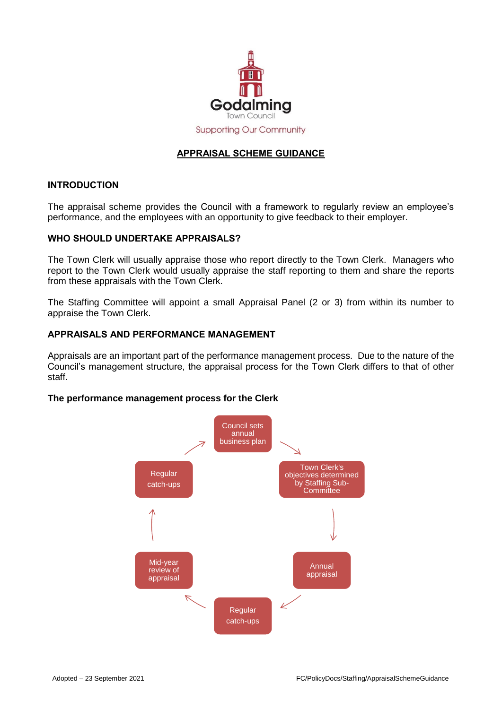

# **APPRAISAL SCHEME GUIDANCE**

## **INTRODUCTION**

The appraisal scheme provides the Council with a framework to regularly review an employee's performance, and the employees with an opportunity to give feedback to their employer.

## **WHO SHOULD UNDERTAKE APPRAISALS?**

The Town Clerk will usually appraise those who report directly to the Town Clerk. Managers who report to the Town Clerk would usually appraise the staff reporting to them and share the reports from these appraisals with the Town Clerk.

The Staffing Committee will appoint a small Appraisal Panel (2 or 3) from within its number to appraise the Town Clerk.

#### **APPRAISALS AND PERFORMANCE MANAGEMENT**

Appraisals are an important part of the performance management process. Due to the nature of the Council's management structure, the appraisal process for the Town Clerk differs to that of other staff.

#### **The performance management process for the Clerk**

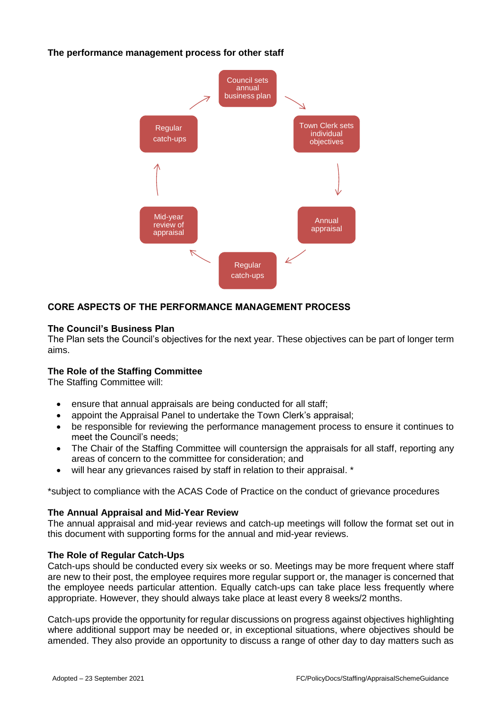# **The performance management process for other staff**



# **CORE ASPECTS OF THE PERFORMANCE MANAGEMENT PROCESS**

## **The Council's Business Plan**

The Plan sets the Council's objectives for the next year. These objectives can be part of longer term aims.

# **The Role of the Staffing Committee**

The Staffing Committee will:

- ensure that annual appraisals are being conducted for all staff;
- appoint the Appraisal Panel to undertake the Town Clerk's appraisal;
- be responsible for reviewing the performance management process to ensure it continues to meet the Council's needs;
- The Chair of the Staffing Committee will countersign the appraisals for all staff, reporting any areas of concern to the committee for consideration; and
- will hear any grievances raised by staff in relation to their appraisal. \*

\*subject to compliance with the ACAS Code of Practice on the conduct of grievance procedures

#### **The Annual Appraisal and Mid-Year Review**

The annual appraisal and mid-year reviews and catch-up meetings will follow the format set out in this document with supporting forms for the annual and mid-year reviews.

#### **The Role of Regular Catch-Ups**

Catch-ups should be conducted every six weeks or so. Meetings may be more frequent where staff are new to their post, the employee requires more regular support or, the manager is concerned that the employee needs particular attention. Equally catch-ups can take place less frequently where appropriate. However, they should always take place at least every 8 weeks/2 months.

Catch-ups provide the opportunity for regular discussions on progress against objectives highlighting where additional support may be needed or, in exceptional situations, where objectives should be amended. They also provide an opportunity to discuss a range of other day to day matters such as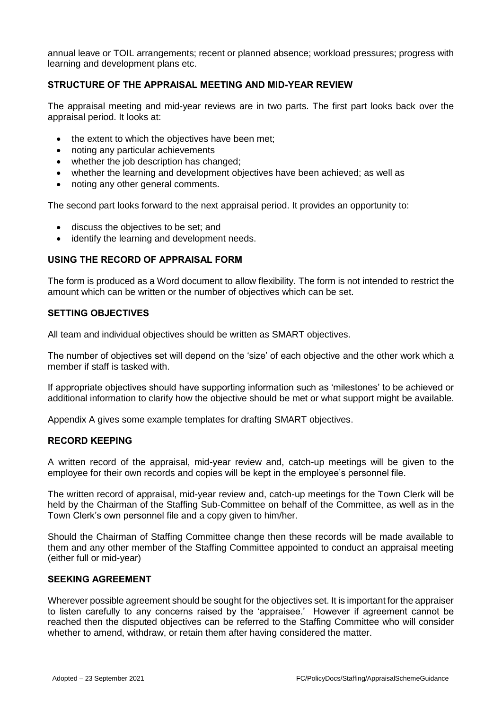annual leave or TOIL arrangements; recent or planned absence; workload pressures; progress with learning and development plans etc.

# **STRUCTURE OF THE APPRAISAL MEETING AND MID-YEAR REVIEW**

The appraisal meeting and mid-year reviews are in two parts. The first part looks back over the appraisal period. It looks at:

- the extent to which the objectives have been met;
- noting any particular achievements
- whether the job description has changed;
- whether the learning and development objectives have been achieved; as well as
- noting any other general comments.

The second part looks forward to the next appraisal period. It provides an opportunity to:

- discuss the objectives to be set; and
- identify the learning and development needs.

## **USING THE RECORD OF APPRAISAL FORM**

The form is produced as a Word document to allow flexibility. The form is not intended to restrict the amount which can be written or the number of objectives which can be set.

## **SETTING OBJECTIVES**

All team and individual objectives should be written as SMART objectives.

The number of objectives set will depend on the 'size' of each objective and the other work which a member if staff is tasked with.

If appropriate objectives should have supporting information such as 'milestones' to be achieved or additional information to clarify how the objective should be met or what support might be available.

Appendix A gives some example templates for drafting SMART objectives.

## **RECORD KEEPING**

A written record of the appraisal, mid-year review and, catch-up meetings will be given to the employee for their own records and copies will be kept in the employee's personnel file.

The written record of appraisal, mid-year review and, catch-up meetings for the Town Clerk will be held by the Chairman of the Staffing Sub-Committee on behalf of the Committee, as well as in the Town Clerk's own personnel file and a copy given to him/her.

Should the Chairman of Staffing Committee change then these records will be made available to them and any other member of the Staffing Committee appointed to conduct an appraisal meeting (either full or mid-year)

### **SEEKING AGREEMENT**

Wherever possible agreement should be sought for the objectives set. It is important for the appraiser to listen carefully to any concerns raised by the 'appraisee.' However if agreement cannot be reached then the disputed objectives can be referred to the Staffing Committee who will consider whether to amend, withdraw, or retain them after having considered the matter.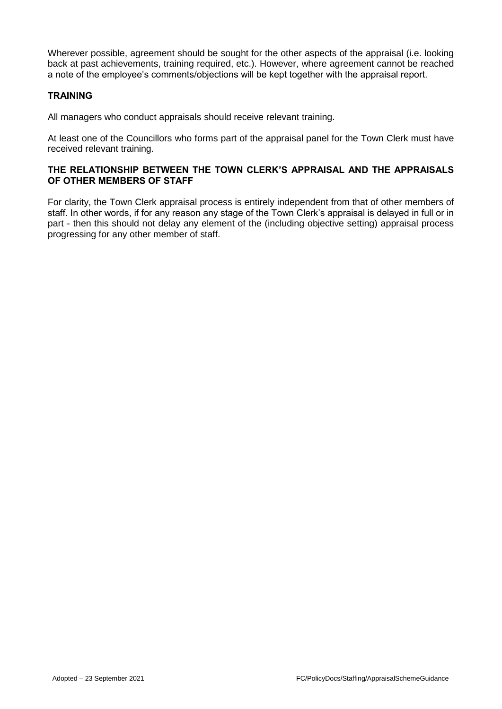Wherever possible, agreement should be sought for the other aspects of the appraisal (i.e. looking back at past achievements, training required, etc.). However, where agreement cannot be reached a note of the employee's comments/objections will be kept together with the appraisal report.

# **TRAINING**

All managers who conduct appraisals should receive relevant training.

At least one of the Councillors who forms part of the appraisal panel for the Town Clerk must have received relevant training.

# **THE RELATIONSHIP BETWEEN THE TOWN CLERK'S APPRAISAL AND THE APPRAISALS OF OTHER MEMBERS OF STAFF**

For clarity, the Town Clerk appraisal process is entirely independent from that of other members of staff. In other words, if for any reason any stage of the Town Clerk's appraisal is delayed in full or in part - then this should not delay any element of the (including objective setting) appraisal process progressing for any other member of staff.